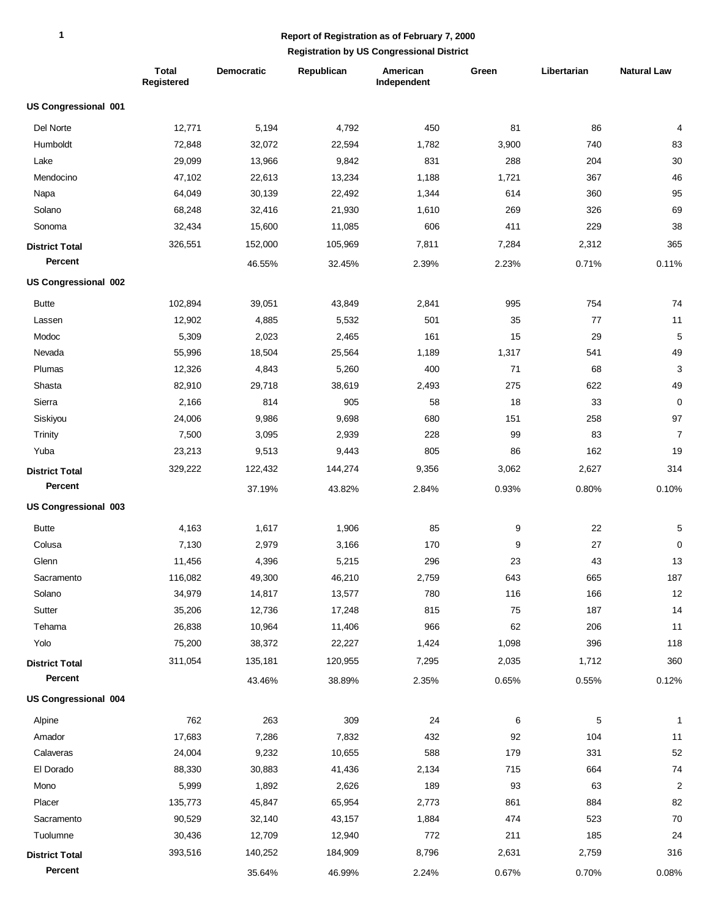|                             | <b>Total</b><br>Registered | <b>Democratic</b> | Republican | American<br>Independent | Green | Libertarian | <b>Natural Law</b> |
|-----------------------------|----------------------------|-------------------|------------|-------------------------|-------|-------------|--------------------|
| <b>US Congressional 001</b> |                            |                   |            |                         |       |             |                    |
| Del Norte                   | 12,771                     | 5,194             | 4,792      | 450                     | 81    | 86          | 4                  |
| Humboldt                    | 72,848                     | 32,072            | 22,594     | 1,782                   | 3,900 | 740         | 83                 |
| Lake                        | 29,099                     | 13,966            | 9,842      | 831                     | 288   | 204         | 30                 |
| Mendocino                   | 47,102                     | 22,613            | 13,234     | 1,188                   | 1,721 | 367         | 46                 |
| Napa                        | 64,049                     | 30,139            | 22,492     | 1,344                   | 614   | 360         | 95                 |
| Solano                      | 68,248                     | 32,416            | 21,930     | 1,610                   | 269   | 326         | 69                 |
| Sonoma                      | 32,434                     | 15,600            | 11,085     | 606                     | 411   | 229         | 38                 |
| <b>District Total</b>       | 326,551                    | 152,000           | 105,969    | 7,811                   | 7,284 | 2,312       | 365                |
| Percent                     |                            | 46.55%            | 32.45%     | 2.39%                   | 2.23% | 0.71%       | 0.11%              |
| US Congressional 002        |                            |                   |            |                         |       |             |                    |
| <b>Butte</b>                | 102,894                    | 39,051            | 43,849     | 2,841                   | 995   | 754         | 74                 |
| Lassen                      | 12,902                     | 4,885             | 5,532      | 501                     | 35    | 77          | 11                 |
| Modoc                       | 5,309                      | 2,023             | 2,465      | 161                     | 15    | 29          | 5                  |
| Nevada                      | 55,996                     | 18,504            | 25,564     | 1,189                   | 1,317 | 541         | 49                 |
| Plumas                      | 12,326                     | 4,843             | 5,260      | 400                     | 71    | 68          | 3                  |
| Shasta                      | 82,910                     | 29,718            | 38,619     | 2,493                   | 275   | 622         | 49                 |
| Sierra                      | 2,166                      | 814               | 905        | 58                      | 18    | 33          | $\mathbf 0$        |
| Siskiyou                    | 24,006                     | 9,986             | 9,698      | 680                     | 151   | 258         | 97                 |
| Trinity                     | 7,500                      | 3,095             | 2,939      | 228                     | 99    | 83          | $\overline{7}$     |
| Yuba                        | 23,213                     | 9,513             | 9,443      | 805                     | 86    | 162         | 19                 |
| <b>District Total</b>       | 329,222                    | 122,432           | 144,274    | 9,356                   | 3,062 | 2,627       | 314                |
| Percent                     |                            | 37.19%            | 43.82%     | 2.84%                   | 0.93% | 0.80%       | 0.10%              |
| US Congressional 003        |                            |                   |            |                         |       |             |                    |
| <b>Butte</b>                | 4,163                      | 1,617             | 1,906      | 85                      | 9     | 22          | 5                  |
| Colusa                      | 7,130                      | 2,979             | 3,166      | 170                     | 9     | 27          | 0                  |
| Glenn                       | 11,456                     | 4,396             | 5,215      | 296                     | 23    | 43          | 13                 |
| Sacramento                  | 116,082                    | 49,300            | 46,210     | 2,759                   | 643   | 665         | 187                |
| Solano                      | 34,979                     | 14,817            | 13,577     | 780                     | 116   | 166         | 12                 |
| Sutter                      | 35,206                     | 12,736            | 17,248     | 815                     | 75    | 187         | 14                 |
| Tehama                      | 26,838                     | 10,964            | 11,406     | 966                     | 62    | 206         | 11                 |
| Yolo                        | 75,200                     | 38,372            | 22,227     | 1,424                   | 1,098 | 396         | 118                |
| <b>District Total</b>       | 311,054                    | 135,181           | 120,955    | 7,295                   | 2,035 | 1,712       | 360                |
| Percent                     |                            | 43.46%            | 38.89%     | 2.35%                   | 0.65% | 0.55%       | 0.12%              |
| <b>US Congressional 004</b> |                            |                   |            |                         |       |             |                    |
| Alpine                      | 762                        | 263               | 309        | 24                      | 6     | 5           | $\mathbf{1}$       |
| Amador                      | 17,683                     | 7,286             | 7,832      | 432                     | 92    | 104         | 11                 |
| Calaveras                   | 24,004                     | 9,232             | 10,655     | 588                     | 179   | 331         | 52                 |
| El Dorado                   | 88,330                     | 30,883            | 41,436     | 2,134                   | 715   | 664         | 74                 |
| Mono                        | 5,999                      | 1,892             | 2,626      | 189                     | 93    | 63          | $\overline{c}$     |
| Placer                      | 135,773                    | 45,847            | 65,954     | 2,773                   | 861   | 884         | 82                 |
| Sacramento                  | 90,529                     | 32,140            | 43,157     | 1,884                   | 474   | 523         | 70                 |
| Tuolumne                    | 30,436                     | 12,709            | 12,940     | 772                     | 211   | 185         | 24                 |
| <b>District Total</b>       | 393,516                    | 140,252           | 184,909    | 8,796                   | 2,631 | 2,759       | 316                |
| Percent                     |                            | 35.64%            | 46.99%     | 2.24%                   | 0.67% | 0.70%       | 0.08%              |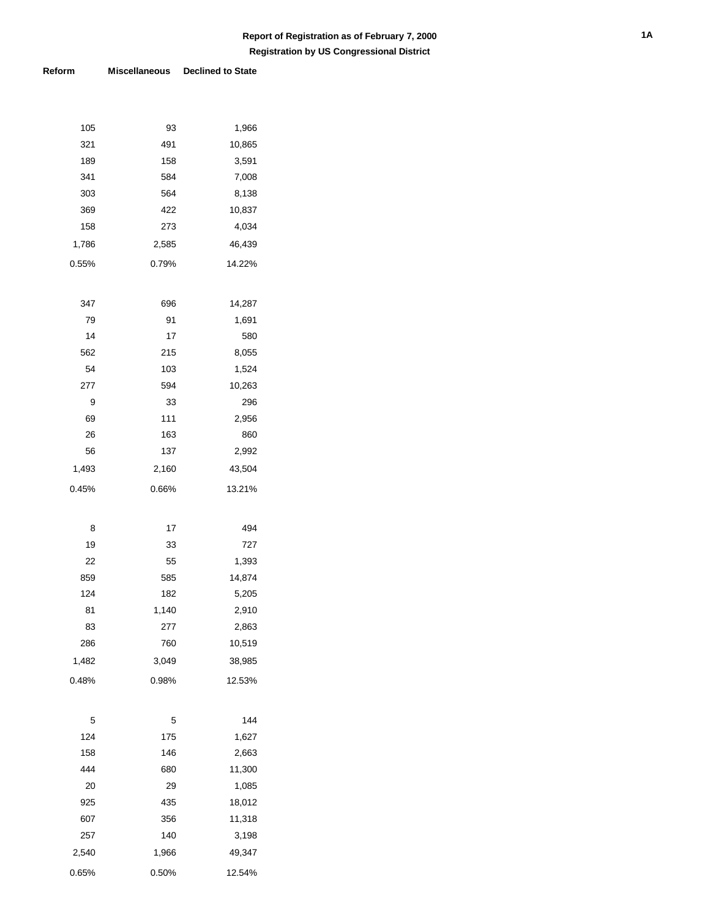| 105   | 93    | 1,966  |
|-------|-------|--------|
| 321   | 491   | 10,865 |
| 189   | 158   | 3,591  |
| 341   | 584   | 7,008  |
| 303   | 564   | 8,138  |
| 369   | 422   | 10,837 |
| 158   | 273   | 4,034  |
| 1,786 | 2,585 | 46,439 |
| 0.55% | 0.79% | 14.22% |
|       |       |        |
| 347   | 696   | 14,287 |
| 79    | 91    | 1,691  |
| 14    | 17    | 580    |
| 562   | 215   | 8,055  |
| 54    | 103   | 1,524  |
| 277   | 594   | 10,263 |
| 9     | 33    | 296    |
| 69    | 111   | 2,956  |
| 26    | 163   | 860    |
| 56    | 137   | 2,992  |
| 1,493 | 2,160 | 43,504 |
| 0.45% | 0.66% | 13.21% |
|       |       |        |
| 8     | 17    | 494    |
| 19    | 33    | 727    |
| 22    | 55    | 1,393  |
| 859   | 585   | 14,874 |
| 124   | 182   | 5,205  |
| 81    | 1,140 | 2,910  |
| 83    | 277   | 2,863  |
| 286   | 760   | 10,519 |
| 1,482 | 3,049 | 38,985 |
| 0.48% | 0.98% | 12.53% |
|       |       |        |
| 5     | 5     | 144    |
| 124   | 175   | 1,627  |
| 158   | 146   | 2,663  |
| 444   | 680   | 11,300 |
| 20    | 29    | 1,085  |
| 925   | 435   | 18,012 |
| 607   | 356   | 11,318 |
| 257   | 140   | 3,198  |
| 2,540 | 1,966 | 49,347 |
|       |       |        |
| 0.65% | 0.50% | 12.54% |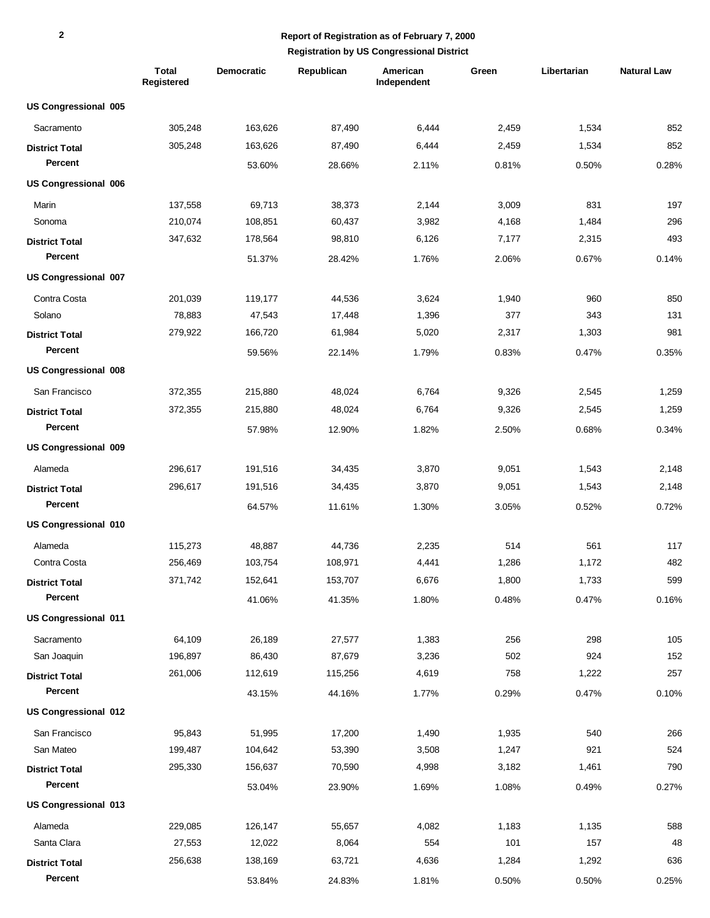|                             | <b>Total</b><br>Registered | <b>Democratic</b> | Republican | American<br>Independent | Green | Libertarian | <b>Natural Law</b> |
|-----------------------------|----------------------------|-------------------|------------|-------------------------|-------|-------------|--------------------|
| <b>US Congressional 005</b> |                            |                   |            |                         |       |             |                    |
| Sacramento                  | 305,248                    | 163,626           | 87,490     | 6,444                   | 2,459 | 1,534       | 852                |
| <b>District Total</b>       | 305,248                    | 163,626           | 87,490     | 6,444                   | 2,459 | 1,534       | 852                |
| Percent                     |                            | 53.60%            | 28.66%     | 2.11%                   | 0.81% | 0.50%       | 0.28%              |
| <b>US Congressional 006</b> |                            |                   |            |                         |       |             |                    |
| Marin                       | 137,558                    | 69,713            | 38,373     | 2,144                   | 3,009 | 831         | 197                |
| Sonoma                      | 210,074                    | 108,851           | 60,437     | 3,982                   | 4,168 | 1,484       | 296                |
| <b>District Total</b>       | 347,632                    | 178,564           | 98,810     | 6,126                   | 7,177 | 2,315       | 493                |
| Percent                     |                            | 51.37%            | 28.42%     | 1.76%                   | 2.06% | 0.67%       | 0.14%              |
| US Congressional 007        |                            |                   |            |                         |       |             |                    |
| Contra Costa                | 201,039                    | 119,177           | 44,536     | 3,624                   | 1,940 | 960         | 850                |
| Solano                      | 78,883                     | 47,543            | 17,448     | 1,396                   | 377   | 343         | 131                |
| <b>District Total</b>       | 279,922                    | 166,720           | 61,984     | 5,020                   | 2,317 | 1,303       | 981                |
| Percent                     |                            | 59.56%            | 22.14%     | 1.79%                   | 0.83% | 0.47%       | 0.35%              |
| <b>US Congressional 008</b> |                            |                   |            |                         |       |             |                    |
| San Francisco               | 372,355                    | 215,880           | 48,024     | 6,764                   | 9,326 | 2,545       | 1,259              |
| <b>District Total</b>       | 372,355                    | 215,880           | 48,024     | 6,764                   | 9,326 | 2,545       | 1,259              |
| Percent                     |                            | 57.98%            | 12.90%     | 1.82%                   | 2.50% | 0.68%       | 0.34%              |
| US Congressional 009        |                            |                   |            |                         |       |             |                    |
| Alameda                     | 296,617                    | 191,516           | 34,435     | 3,870                   | 9,051 | 1,543       | 2,148              |
| <b>District Total</b>       | 296,617                    | 191,516           | 34,435     | 3,870                   | 9,051 | 1,543       | 2,148              |
| Percent                     |                            | 64.57%            | 11.61%     | 1.30%                   | 3.05% | 0.52%       | 0.72%              |
| US Congressional 010        |                            |                   |            |                         |       |             |                    |
| Alameda                     | 115,273                    | 48,887            | 44,736     | 2,235                   | 514   | 561         | 117                |
| Contra Costa                | 256,469                    | 103,754           | 108,971    | 4,441                   | 1,286 | 1,172       | 482                |
| <b>District Total</b>       | 371,742                    | 152,641           | 153,707    | 6,676                   | 1,800 | 1,733       | 599                |
| Percent                     |                            | 41.06%            | 41.35%     | 1.80%                   | 0.48% | 0.47%       | 0.16%              |
| <b>US Congressional 011</b> |                            |                   |            |                         |       |             |                    |
| Sacramento                  | 64,109                     | 26,189            | 27,577     | 1,383                   | 256   | 298         | 105                |
| San Joaquin                 | 196,897                    | 86,430            | 87,679     | 3,236                   | 502   | 924         | 152                |
| <b>District Total</b>       | 261,006                    | 112,619           | 115,256    | 4,619                   | 758   | 1,222       | 257                |
| Percent                     |                            | 43.15%            | 44.16%     | 1.77%                   | 0.29% | 0.47%       | 0.10%              |
| US Congressional 012        |                            |                   |            |                         |       |             |                    |
| San Francisco               | 95,843                     | 51,995            | 17,200     | 1,490                   | 1,935 | 540         | 266                |
| San Mateo                   | 199,487                    | 104,642           | 53,390     | 3,508                   | 1,247 | 921         | 524                |
| <b>District Total</b>       | 295,330                    | 156,637           | 70,590     | 4,998                   | 3,182 | 1,461       | 790                |
| Percent                     |                            | 53.04%            | 23.90%     | 1.69%                   | 1.08% | 0.49%       | 0.27%              |
| US Congressional 013        |                            |                   |            |                         |       |             |                    |
| Alameda                     | 229,085                    | 126,147           | 55,657     | 4,082                   | 1,183 | 1,135       | 588                |
| Santa Clara                 | 27,553                     | 12,022            | 8,064      | 554                     | 101   | 157         | 48                 |
| <b>District Total</b>       | 256,638                    | 138,169           | 63,721     | 4,636                   | 1,284 | 1,292       | 636                |
| Percent                     |                            | 53.84%            | 24.83%     | 1.81%                   | 0.50% | 0.50%       | 0.25%              |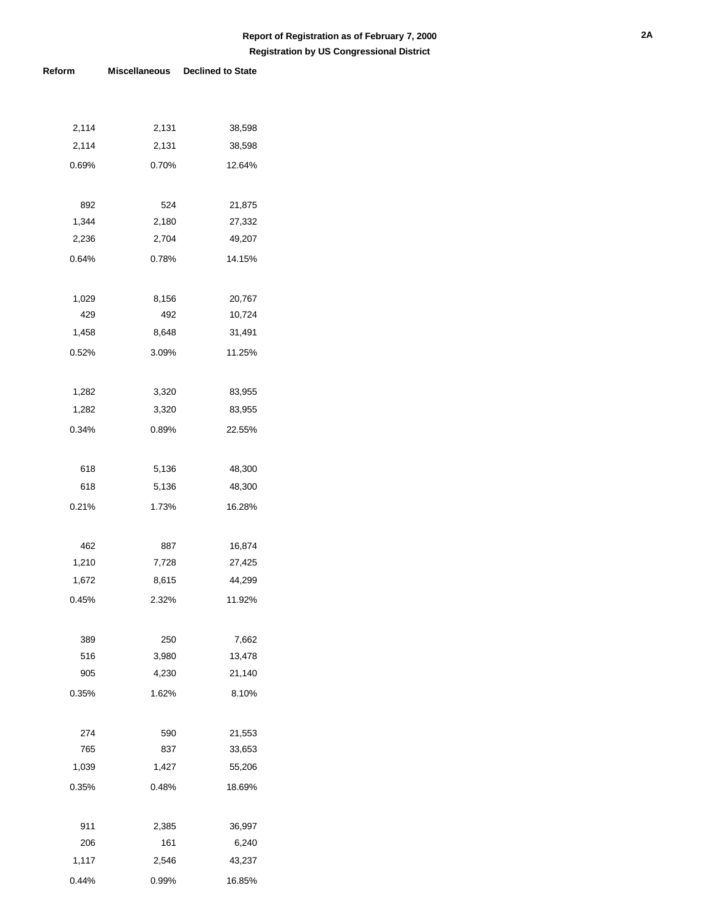| 2,114        | 2,131          | 38,598           |
|--------------|----------------|------------------|
| 2,114        | 2,131          | 38,598           |
| 0.69%        | 0.70%          | 12.64%           |
|              |                |                  |
| 892          | 524            | 21,875           |
| 1,344        | 2,180          | 27,332           |
| 2,236        | 2,704          | 49,207           |
| 0.64%        | 0.78%          | 14.15%           |
|              |                |                  |
| 1,029        | 8,156          | 20,767           |
| 429          | 492            | 10,724           |
| 1,458        | 8,648          | 31,491           |
| 0.52%        | 3.09%          | 11.25%           |
|              |                |                  |
| 1,282        | 3,320          | 83,955           |
| 1,282        | 3,320          | 83,955           |
| 0.34%        | 0.89%          | 22.55%           |
|              |                |                  |
| 618          | 5,136          | 48,300           |
| 618          | 5,136          | 48,300           |
| 0.21%        | 1.73%          | 16.28%           |
|              |                |                  |
|              |                |                  |
| 462<br>1,210 | 887<br>7,728   | 16,874           |
| 1,672        | 8,615          | 27,425<br>44,299 |
| 0.45%        | 2.32%          | 11.92%           |
|              |                |                  |
|              |                |                  |
| 389          | 250            | 7,662            |
| 516          | 3,980<br>4,230 | 13,478           |
| 905          |                | 21,140           |
| 0.35%        | 1.62%          | 8.10%            |
|              |                |                  |
| 274          | 590            | 21,553           |
| 765          | 837            | 33,653           |
| 1,039        | 1,427          | 55,206           |
| 0.35%        | 0.48%          | 18.69%           |
|              |                |                  |
| 911          | 2,385          | 36,997           |
| 206          | 161            | 6,240            |
| 1,117        | 2,546          | 43,237           |
| 0.44%        | 0.99%          | 16.85%           |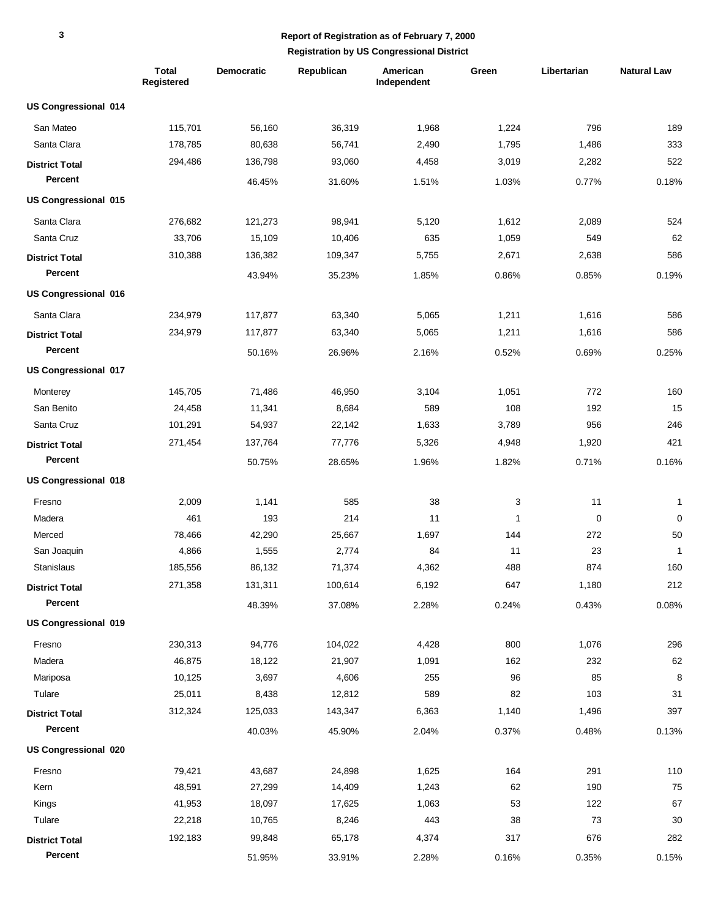|                             | <b>Total</b><br>Registered | <b>Democratic</b> | Republican | American<br>Independent | Green  | Libertarian | <b>Natural Law</b> |
|-----------------------------|----------------------------|-------------------|------------|-------------------------|--------|-------------|--------------------|
| <b>US Congressional 014</b> |                            |                   |            |                         |        |             |                    |
| San Mateo                   | 115,701                    | 56,160            | 36,319     | 1,968                   | 1,224  | 796         | 189                |
| Santa Clara                 | 178,785                    | 80,638            | 56,741     | 2,490                   | 1,795  | 1,486       | 333                |
| <b>District Total</b>       | 294,486                    | 136,798           | 93,060     | 4,458                   | 3,019  | 2,282       | 522                |
| Percent                     |                            | 46.45%            | 31.60%     | 1.51%                   | 1.03%  | 0.77%       | 0.18%              |
| <b>US Congressional 015</b> |                            |                   |            |                         |        |             |                    |
| Santa Clara                 | 276,682                    | 121,273           | 98,941     | 5,120                   | 1,612  | 2,089       | 524                |
| Santa Cruz                  | 33,706                     | 15,109            | 10,406     | 635                     | 1,059  | 549         | 62                 |
| <b>District Total</b>       | 310,388                    | 136,382           | 109,347    | 5,755                   | 2,671  | 2,638       | 586                |
| Percent                     |                            | 43.94%            | 35.23%     | 1.85%                   | 0.86%  | 0.85%       | 0.19%              |
| US Congressional 016        |                            |                   |            |                         |        |             |                    |
| Santa Clara                 | 234,979                    | 117,877           | 63,340     | 5,065                   | 1,211  | 1,616       | 586                |
| <b>District Total</b>       | 234,979                    | 117,877           | 63,340     | 5,065                   | 1,211  | 1,616       | 586                |
| <b>Percent</b>              |                            | 50.16%            | 26.96%     | 2.16%                   | 0.52%  | 0.69%       | 0.25%              |
| US Congressional 017        |                            |                   |            |                         |        |             |                    |
| Monterey                    | 145,705                    | 71,486            | 46,950     | 3,104                   | 1,051  | 772         | 160                |
| San Benito                  | 24,458                     | 11,341            | 8,684      | 589                     | 108    | 192         | 15                 |
| Santa Cruz                  | 101,291                    | 54,937            | 22,142     | 1,633                   | 3,789  | 956         | 246                |
| <b>District Total</b>       | 271,454                    | 137,764           | 77,776     | 5,326                   | 4,948  | 1,920       | 421                |
| Percent                     |                            | 50.75%            | 28.65%     | 1.96%                   | 1.82%  | 0.71%       | 0.16%              |
| US Congressional 018        |                            |                   |            |                         |        |             |                    |
| Fresno                      | 2,009                      | 1,141             | 585        | 38                      | 3      | 11          | 1                  |
| Madera                      | 461                        | 193               | 214        | 11                      | 1      | 0           | $\mathbf 0$        |
| Merced                      | 78,466                     | 42,290            | 25,667     | 1,697                   | 144    | 272         | 50                 |
| San Joaquin                 | 4,866                      | 1,555             | 2,774      | 84                      | 11     | 23          | $\mathbf{1}$       |
| Stanislaus                  | 185,556                    | 86,132            | 71,374     | 4,362                   | 488    | 874         | 160                |
| <b>District Total</b>       | 271,358                    | 131,311           | 100,614    | 6,192                   | 647    | 1,180       | 212                |
| Percent                     |                            | 48.39%            | 37.08%     | 2.28%                   | 0.24%  | 0.43%       | 0.08%              |
| US Congressional 019        |                            |                   |            |                         |        |             |                    |
| Fresno                      | 230,313                    | 94,776            | 104,022    | 4,428                   | 800    | 1,076       | 296                |
| Madera                      | 46,875                     | 18,122            | 21,907     | 1,091                   | 162    | 232         | 62                 |
| Mariposa                    | 10,125                     | 3,697             | 4,606      | 255                     | 96     | 85          | 8                  |
| Tulare                      | 25,011                     | 8,438             | 12,812     | 589                     | 82     | 103         | 31                 |
| <b>District Total</b>       | 312,324                    | 125,033           | 143,347    | 6,363                   | 1,140  | 1,496       | 397                |
| Percent                     |                            | 40.03%            | 45.90%     | 2.04%                   | 0.37%  | 0.48%       | 0.13%              |
| <b>US Congressional 020</b> |                            |                   |            |                         |        |             |                    |
| Fresno                      | 79,421                     | 43,687            | 24,898     | 1,625                   | 164    | 291         | 110                |
| Kern                        | 48,591                     | 27,299            | 14,409     | 1,243                   | 62     | 190         | 75                 |
| Kings                       | 41,953                     | 18,097            | 17,625     | 1,063                   | 53     | 122         | 67                 |
| Tulare                      | 22,218                     | 10,765            | 8,246      | 443                     | $38\,$ | 73          | $30\,$             |
| <b>District Total</b>       | 192,183                    | 99,848            | 65,178     | 4,374                   | 317    | 676         | 282                |
| Percent                     |                            | 51.95%            | 33.91%     | 2.28%                   | 0.16%  | 0.35%       | 0.15%              |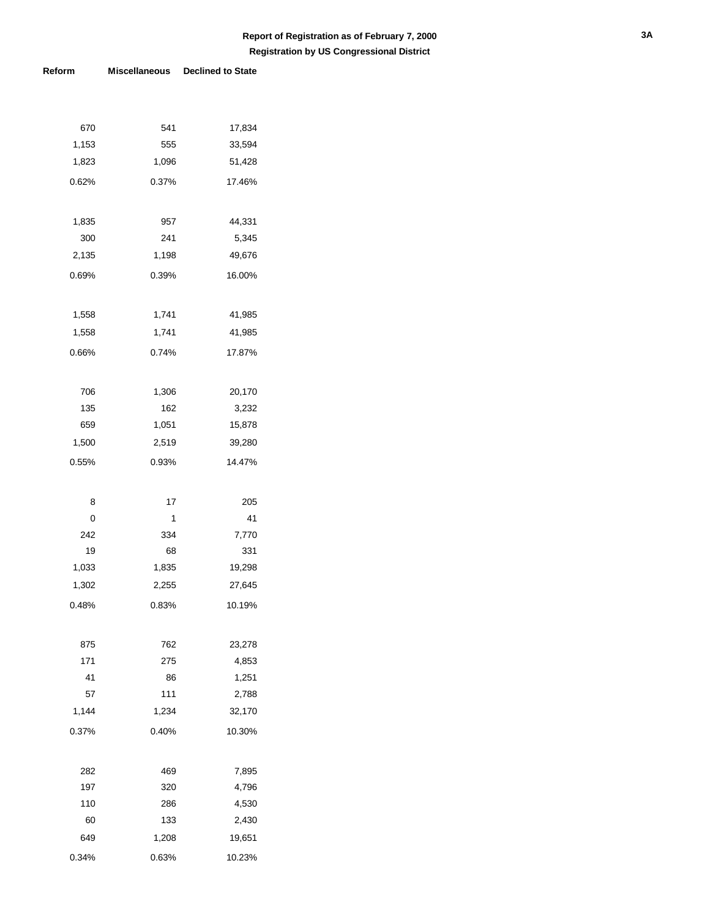| 670   | 541   | 17,834 |
|-------|-------|--------|
| 1,153 | 555   | 33,594 |
| 1,823 | 1,096 | 51,428 |
| 0.62% | 0.37% | 17.46% |
|       |       |        |
| 1,835 | 957   | 44,331 |
| 300   | 241   | 5,345  |
| 2,135 | 1,198 | 49,676 |
| 0.69% | 0.39% | 16.00% |
|       |       |        |
| 1,558 | 1,741 | 41,985 |
| 1,558 | 1,741 | 41,985 |
| 0.66% | 0.74% | 17.87% |
|       |       |        |
| 706   | 1,306 | 20,170 |
| 135   | 162   | 3,232  |
| 659   | 1,051 | 15,878 |
| 1,500 | 2,519 | 39,280 |
| 0.55% | 0.93% | 14.47% |
|       |       |        |
| 8     | 17    | 205    |
| 0     | 1     | 41     |
| 242   | 334   | 7,770  |
| 19    | 68    | 331    |
| 1,033 | 1,835 | 19,298 |
| 1,302 | 2,255 | 27,645 |
| 0.48% | 0.83% | 10.19% |
|       |       |        |
| 875   | 762   | 23,278 |
| 171   | 275   | 4,853  |
| 41    | 86    | 1,251  |
| 57    | 111   | 2,788  |
| 1,144 | 1,234 | 32,170 |
| 0.37% | 0.40% | 10.30% |
|       |       |        |
| 282   | 469   | 7,895  |
| 197   | 320   | 4,796  |
| 110   | 286   | 4,530  |
| 60    | 133   | 2,430  |
| 649   | 1,208 | 19,651 |
|       |       |        |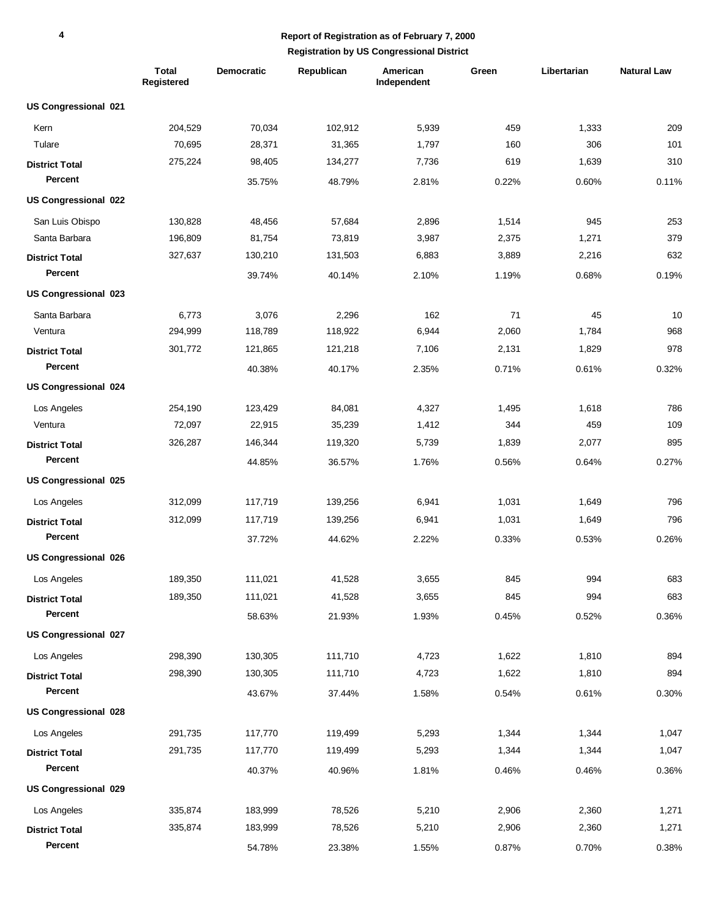|                             | <b>Total</b><br>Registered | <b>Democratic</b> | Republican | American<br>Independent | Green | Libertarian | <b>Natural Law</b> |
|-----------------------------|----------------------------|-------------------|------------|-------------------------|-------|-------------|--------------------|
| US Congressional 021        |                            |                   |            |                         |       |             |                    |
| Kern                        | 204,529                    | 70,034            | 102,912    | 5,939                   | 459   | 1,333       | 209                |
| Tulare                      | 70,695                     | 28,371            | 31,365     | 1,797                   | 160   | 306         | 101                |
| <b>District Total</b>       | 275,224                    | 98,405            | 134,277    | 7,736                   | 619   | 1,639       | 310                |
| Percent                     |                            | 35.75%            | 48.79%     | 2.81%                   | 0.22% | 0.60%       | 0.11%              |
| <b>US Congressional 022</b> |                            |                   |            |                         |       |             |                    |
| San Luis Obispo             | 130,828                    | 48,456            | 57,684     | 2,896                   | 1,514 | 945         | 253                |
| Santa Barbara               | 196,809                    | 81,754            | 73,819     | 3,987                   | 2,375 | 1,271       | 379                |
| <b>District Total</b>       | 327,637                    | 130,210           | 131,503    | 6,883                   | 3,889 | 2,216       | 632                |
| Percent                     |                            | 39.74%            | 40.14%     | 2.10%                   | 1.19% | 0.68%       | 0.19%              |
| US Congressional 023        |                            |                   |            |                         |       |             |                    |
| Santa Barbara               | 6,773                      | 3,076             | 2,296      | 162                     | 71    | 45          | 10                 |
| Ventura                     | 294,999                    | 118,789           | 118,922    | 6,944                   | 2,060 | 1,784       | 968                |
| <b>District Total</b>       | 301,772                    | 121,865           | 121,218    | 7,106                   | 2,131 | 1,829       | 978                |
| <b>Percent</b>              |                            | 40.38%            | 40.17%     | 2.35%                   | 0.71% | 0.61%       | 0.32%              |
| <b>US Congressional 024</b> |                            |                   |            |                         |       |             |                    |
| Los Angeles                 | 254,190                    | 123,429           | 84,081     | 4,327                   | 1,495 | 1,618       | 786                |
| Ventura                     | 72,097                     | 22,915            | 35,239     | 1,412                   | 344   | 459         | 109                |
| <b>District Total</b>       | 326,287                    | 146,344           | 119,320    | 5,739                   | 1,839 | 2,077       | 895                |
| Percent                     |                            | 44.85%            | 36.57%     | 1.76%                   | 0.56% | 0.64%       | 0.27%              |
| US Congressional 025        |                            |                   |            |                         |       |             |                    |
| Los Angeles                 | 312,099                    | 117,719           | 139,256    | 6,941                   | 1,031 | 1,649       | 796                |
| <b>District Total</b>       | 312,099                    | 117,719           | 139,256    | 6,941                   | 1,031 | 1,649       | 796                |
| Percent                     |                            | 37.72%            | 44.62%     | 2.22%                   | 0.33% | 0.53%       | 0.26%              |
| US Congressional 026        |                            |                   |            |                         |       |             |                    |
| Los Angeles                 | 189,350                    | 111,021           | 41,528     | 3,655                   | 845   | 994         | 683                |
| <b>District Total</b>       | 189,350                    | 111,021           | 41,528     | 3,655                   | 845   | 994         | 683                |
| Percent                     |                            | 58.63%            | 21.93%     | 1.93%                   | 0.45% | 0.52%       | 0.36%              |
| US Congressional 027        |                            |                   |            |                         |       |             |                    |
| Los Angeles                 | 298,390                    | 130,305           | 111,710    | 4,723                   | 1,622 | 1,810       | 894                |
| <b>District Total</b>       | 298,390                    | 130,305           | 111,710    | 4,723                   | 1,622 | 1,810       | 894                |
| Percent                     |                            | 43.67%            | 37.44%     | 1.58%                   | 0.54% | 0.61%       | 0.30%              |
| <b>US Congressional 028</b> |                            |                   |            |                         |       |             |                    |
| Los Angeles                 | 291,735                    | 117,770           | 119,499    | 5,293                   | 1,344 | 1,344       | 1,047              |
| <b>District Total</b>       | 291,735                    | 117,770           | 119,499    | 5,293                   | 1,344 | 1,344       | 1,047              |
| Percent                     |                            | 40.37%            | 40.96%     | 1.81%                   | 0.46% | 0.46%       | 0.36%              |
| <b>US Congressional 029</b> |                            |                   |            |                         |       |             |                    |
| Los Angeles                 | 335,874                    | 183,999           | 78,526     | 5,210                   | 2,906 | 2,360       | 1,271              |
| <b>District Total</b>       | 335,874                    | 183,999           | 78,526     | 5,210                   | 2,906 | 2,360       | 1,271              |
| Percent                     |                            | 54.78%            | 23.38%     | 1.55%                   | 0.87% | 0.70%       | 0.38%              |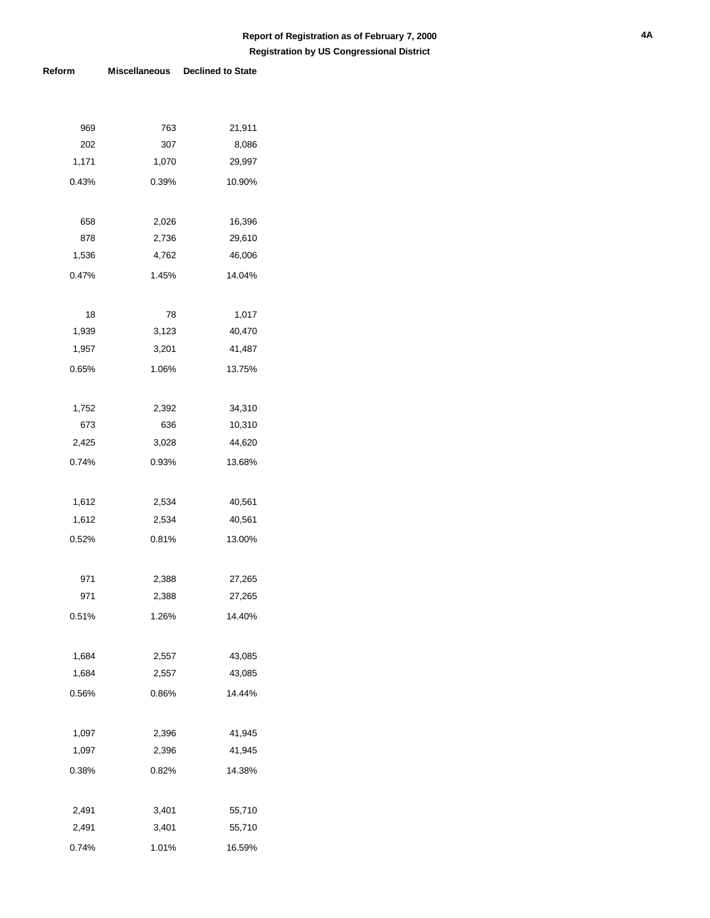| 969   | 763   | 21,911 |
|-------|-------|--------|
| 202   | 307   | 8,086  |
| 1,171 | 1,070 | 29,997 |
| 0.43% | 0.39% | 10.90% |
|       |       |        |
| 658   | 2,026 | 16,396 |
| 878   | 2,736 | 29,610 |
| 1,536 | 4,762 | 46,006 |
| 0.47% | 1.45% | 14.04% |
|       |       |        |
| 18    | 78    | 1,017  |
| 1,939 | 3,123 | 40,470 |
| 1,957 | 3,201 | 41,487 |
| 0.65% | 1.06% | 13.75% |
|       |       |        |
| 1,752 | 2,392 | 34,310 |
| 673   | 636   | 10,310 |
| 2,425 | 3,028 | 44,620 |
| 0.74% | 0.93% | 13.68% |
|       |       |        |
| 1,612 | 2,534 | 40,561 |
| 1,612 | 2,534 | 40,561 |
| 0.52% | 0.81% | 13.00% |
|       |       |        |
| 971   | 2,388 | 27,265 |
| 971   | 2,388 | 27,265 |
| 0.51% | 1.26% | 14.40% |
|       |       |        |
| 1,684 | 2,557 | 43,085 |
| 1,684 | 2,557 | 43,085 |
| 0.56% | 0.86% | 14.44% |
|       |       |        |
| 1,097 | 2,396 | 41,945 |
| 1,097 | 2,396 | 41,945 |
| 0.38% | 0.82% | 14.38% |
|       |       |        |
| 2,491 | 3,401 | 55,710 |
| 2,491 | 3,401 | 55,710 |
| 0.74% | 1.01% | 16.59% |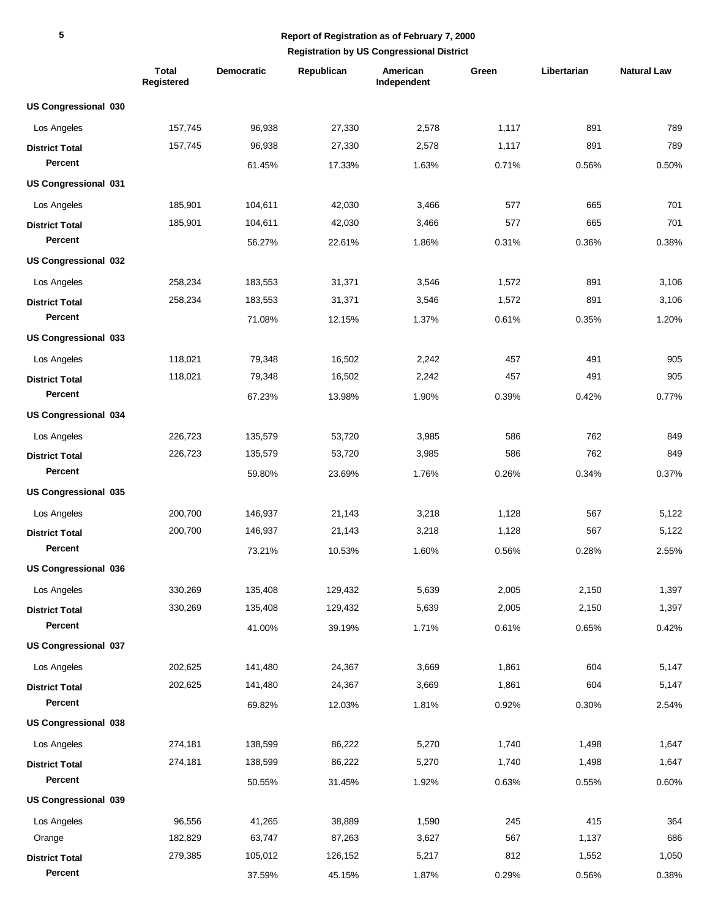|                             | <b>Total</b><br>Registered | <b>Democratic</b> | Republican | American<br>Independent | Green | Libertarian | <b>Natural Law</b> |
|-----------------------------|----------------------------|-------------------|------------|-------------------------|-------|-------------|--------------------|
| US Congressional 030        |                            |                   |            |                         |       |             |                    |
| Los Angeles                 | 157,745                    | 96,938            | 27,330     | 2,578                   | 1,117 | 891         | 789                |
| <b>District Total</b>       | 157,745                    | 96,938            | 27,330     | 2,578                   | 1,117 | 891         | 789                |
| Percent                     |                            | 61.45%            | 17.33%     | 1.63%                   | 0.71% | 0.56%       | 0.50%              |
| US Congressional 031        |                            |                   |            |                         |       |             |                    |
| Los Angeles                 | 185,901                    | 104,611           | 42,030     | 3,466                   | 577   | 665         | 701                |
| <b>District Total</b>       | 185,901                    | 104,611           | 42,030     | 3,466                   | 577   | 665         | 701                |
| Percent                     |                            | 56.27%            | 22.61%     | 1.86%                   | 0.31% | 0.36%       | 0.38%              |
| <b>US Congressional 032</b> |                            |                   |            |                         |       |             |                    |
| Los Angeles                 | 258,234                    | 183,553           | 31,371     | 3,546                   | 1,572 | 891         | 3,106              |
| <b>District Total</b>       | 258,234                    | 183,553           | 31,371     | 3,546                   | 1,572 | 891         | 3,106              |
| Percent                     |                            | 71.08%            | 12.15%     | 1.37%                   | 0.61% | 0.35%       | 1.20%              |
| US Congressional 033        |                            |                   |            |                         |       |             |                    |
| Los Angeles                 | 118,021                    | 79,348            | 16,502     | 2,242                   | 457   | 491         | 905                |
| <b>District Total</b>       | 118,021                    | 79,348            | 16,502     | 2,242                   | 457   | 491         | 905                |
| Percent                     |                            | 67.23%            | 13.98%     | 1.90%                   | 0.39% | 0.42%       | 0.77%              |
| <b>US Congressional 034</b> |                            |                   |            |                         |       |             |                    |
| Los Angeles                 | 226,723                    | 135,579           | 53,720     | 3,985                   | 586   | 762         | 849                |
| <b>District Total</b>       | 226,723                    | 135,579           | 53,720     | 3,985                   | 586   | 762         | 849                |
| Percent                     |                            | 59.80%            | 23.69%     | 1.76%                   | 0.26% | 0.34%       | 0.37%              |
| US Congressional 035        |                            |                   |            |                         |       |             |                    |
| Los Angeles                 | 200.700                    | 146,937           | 21,143     | 3,218                   | 1,128 | 567         | 5,122              |
| <b>District Total</b>       | 200,700                    | 146,937           | 21,143     | 3,218                   | 1,128 | 567         | 5,122              |
| Percent                     |                            | 73.21%            | 10.53%     | 1.60%                   | 0.56% | 0.28%       | 2.55%              |
| <b>US Congressional 036</b> |                            |                   |            |                         |       |             |                    |
| Los Angeles                 | 330,269                    | 135,408           | 129,432    | 5,639                   | 2,005 | 2,150       | 1,397              |
| <b>District Total</b>       | 330,269                    | 135,408           | 129,432    | 5,639                   | 2,005 | 2,150       | 1,397              |
| Percent                     |                            | 41.00%            | 39.19%     | 1.71%                   | 0.61% | 0.65%       | 0.42%              |
| US Congressional 037        |                            |                   |            |                         |       |             |                    |
| Los Angeles                 | 202,625                    | 141,480           | 24,367     | 3,669                   | 1,861 | 604         | 5,147              |
| <b>District Total</b>       | 202,625                    | 141,480           | 24,367     | 3,669                   | 1,861 | 604         | 5,147              |
| Percent                     |                            | 69.82%            | 12.03%     | 1.81%                   | 0.92% | 0.30%       | 2.54%              |
| US Congressional 038        |                            |                   |            |                         |       |             |                    |
| Los Angeles                 | 274,181                    | 138,599           | 86,222     | 5,270                   | 1,740 | 1,498       | 1,647              |
| <b>District Total</b>       | 274,181                    | 138,599           | 86,222     | 5,270                   | 1,740 | 1,498       | 1,647              |
| Percent                     |                            | 50.55%            | 31.45%     | 1.92%                   | 0.63% | 0.55%       | 0.60%              |
| US Congressional 039        |                            |                   |            |                         |       |             |                    |
| Los Angeles                 | 96,556                     | 41,265            | 38,889     | 1,590                   | 245   | 415         | 364                |
| Orange                      | 182,829                    | 63,747            | 87,263     | 3,627                   | 567   | 1,137       | 686                |
| <b>District Total</b>       | 279,385                    | 105,012           | 126,152    | 5,217                   | 812   | 1,552       | 1,050              |
| Percent                     |                            | 37.59%            | 45.15%     | 1.87%                   | 0.29% | 0.56%       | 0.38%              |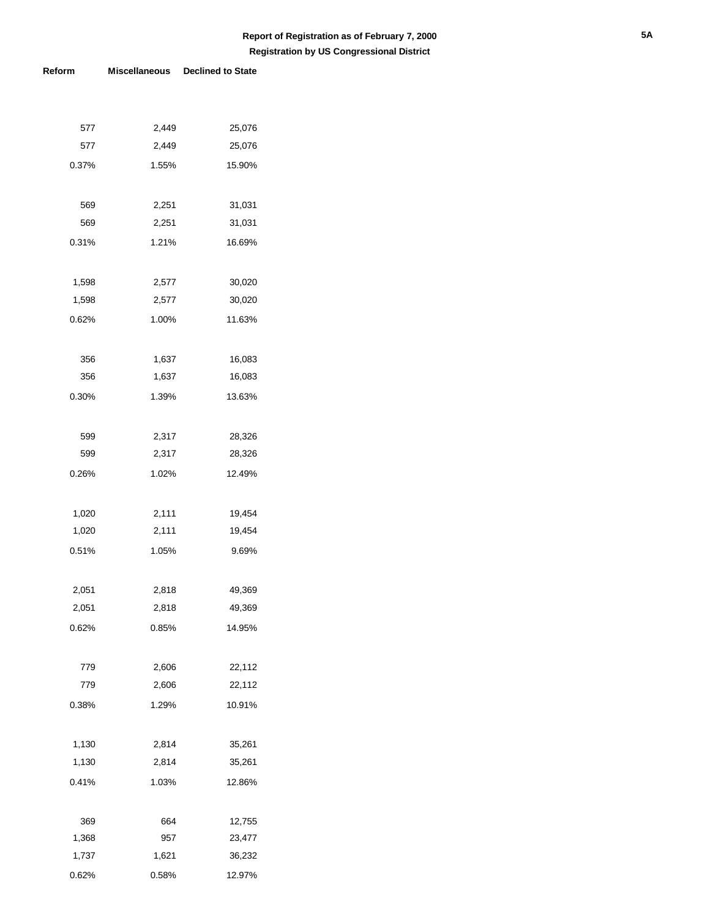| 577   | 2,449 | 25,076 |
|-------|-------|--------|
| 577   | 2,449 | 25,076 |
| 0.37% | 1.55% | 15.90% |
|       |       |        |
| 569   | 2,251 | 31,031 |
| 569   | 2,251 | 31,031 |
| 0.31% | 1.21% | 16.69% |
|       |       |        |
| 1,598 | 2,577 | 30,020 |
| 1,598 | 2,577 | 30,020 |
| 0.62% | 1.00% | 11.63% |
|       |       |        |
| 356   | 1,637 | 16,083 |
| 356   | 1,637 | 16,083 |
| 0.30% | 1.39% | 13.63% |
|       |       |        |
| 599   | 2,317 | 28,326 |
| 599   | 2,317 | 28,326 |
| 0.26% | 1.02% | 12.49% |
|       |       |        |
| 1,020 | 2,111 | 19,454 |
| 1,020 | 2,111 | 19,454 |
| 0.51% | 1.05% | 9.69%  |
|       |       |        |
| 2,051 | 2,818 | 49,369 |
| 2,051 | 2,818 | 49,369 |
| 0.62% | 0.85% | 14.95% |
|       |       |        |
| 779   | 2,606 | 22,112 |
| 779   | 2,606 | 22,112 |
| 0.38% | 1.29% | 10.91% |
|       |       |        |
| 1,130 | 2,814 | 35,261 |
| 1,130 | 2,814 | 35,261 |
| 0.41% | 1.03% | 12.86% |
|       |       |        |
| 369   | 664   | 12,755 |
| 1,368 | 957   | 23,477 |
| 1,737 | 1,621 | 36,232 |
| 0.62% | 0.58% | 12.97% |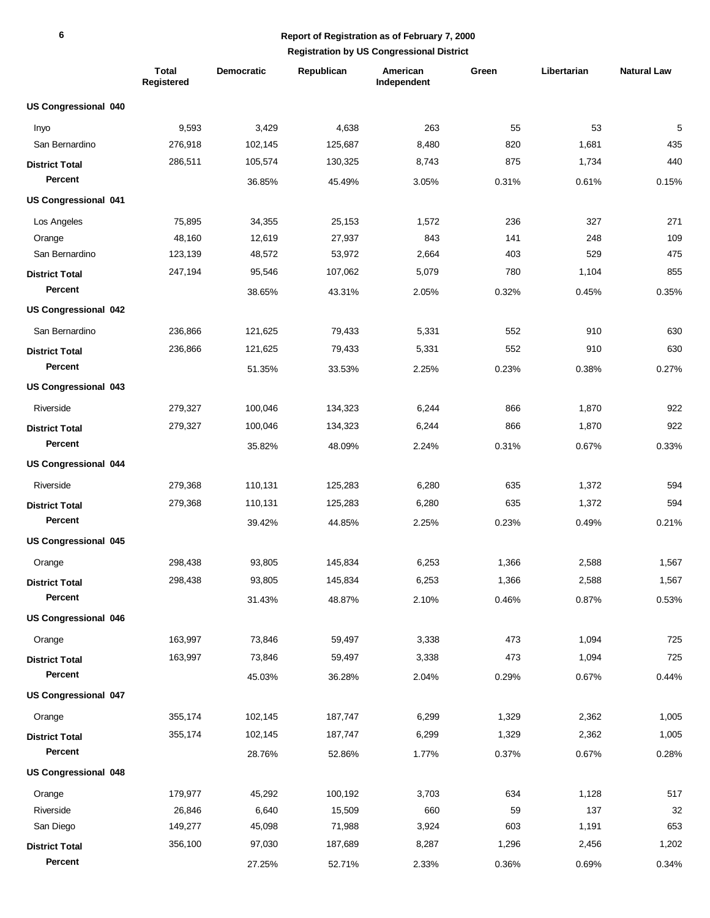|                             | <b>Total</b><br>Registered | <b>Democratic</b> | Republican | American<br>Independent | Green | Libertarian | <b>Natural Law</b> |
|-----------------------------|----------------------------|-------------------|------------|-------------------------|-------|-------------|--------------------|
| <b>US Congressional 040</b> |                            |                   |            |                         |       |             |                    |
| Inyo                        | 9,593                      | 3,429             | 4,638      | 263                     | 55    | 53          | 5                  |
| San Bernardino              | 276,918                    | 102,145           | 125,687    | 8,480                   | 820   | 1,681       | 435                |
| <b>District Total</b>       | 286,511                    | 105,574           | 130,325    | 8,743                   | 875   | 1,734       | 440                |
| <b>Percent</b>              |                            | 36.85%            | 45.49%     | 3.05%                   | 0.31% | 0.61%       | 0.15%              |
| <b>US Congressional 041</b> |                            |                   |            |                         |       |             |                    |
| Los Angeles                 | 75,895                     | 34,355            | 25,153     | 1,572                   | 236   | 327         | 271                |
| Orange                      | 48,160                     | 12,619            | 27,937     | 843                     | 141   | 248         | 109                |
| San Bernardino              | 123,139                    | 48,572            | 53,972     | 2,664                   | 403   | 529         | 475                |
| <b>District Total</b>       | 247,194                    | 95,546            | 107,062    | 5,079                   | 780   | 1,104       | 855                |
| Percent                     |                            | 38.65%            | 43.31%     | 2.05%                   | 0.32% | 0.45%       | 0.35%              |
| <b>US Congressional 042</b> |                            |                   |            |                         |       |             |                    |
| San Bernardino              | 236,866                    | 121,625           | 79,433     | 5,331                   | 552   | 910         | 630                |
| <b>District Total</b>       | 236,866                    | 121,625           | 79,433     | 5,331                   | 552   | 910         | 630                |
| Percent                     |                            | 51.35%            | 33.53%     | 2.25%                   | 0.23% | 0.38%       | 0.27%              |
| <b>US Congressional 043</b> |                            |                   |            |                         |       |             |                    |
| Riverside                   | 279,327                    | 100,046           | 134,323    | 6,244                   | 866   | 1,870       | 922                |
| <b>District Total</b>       | 279,327                    | 100,046           | 134,323    | 6,244                   | 866   | 1,870       | 922                |
| Percent                     |                            | 35.82%            | 48.09%     | 2.24%                   | 0.31% | 0.67%       | 0.33%              |
| <b>US Congressional 044</b> |                            |                   |            |                         |       |             |                    |
| Riverside                   | 279,368                    | 110,131           | 125,283    | 6,280                   | 635   | 1,372       | 594                |
| <b>District Total</b>       | 279,368                    | 110,131           | 125,283    | 6,280                   | 635   | 1,372       | 594                |
| Percent                     |                            | 39.42%            | 44.85%     | 2.25%                   | 0.23% | 0.49%       | 0.21%              |
| <b>US Congressional 045</b> |                            |                   |            |                         |       |             |                    |
| Orange                      | 298,438                    | 93,805            | 145,834    | 6,253                   | 1,366 | 2,588       | 1,567              |
| <b>District Total</b>       | 298,438                    | 93,805            | 145,834    | 6,253                   | 1,366 | 2,588       | 1,567              |
| Percent                     |                            | 31.43%            | 48.87%     | 2.10%                   | 0.46% | 0.87%       | 0.53%              |
| <b>US Congressional 046</b> |                            |                   |            |                         |       |             |                    |
| Orange                      | 163,997                    | 73,846            | 59,497     | 3,338                   | 473   | 1,094       | 725                |
| <b>District Total</b>       | 163,997                    | 73,846            | 59,497     | 3,338                   | 473   | 1,094       | 725                |
| Percent                     |                            | 45.03%            | 36.28%     | 2.04%                   | 0.29% | 0.67%       | 0.44%              |
| <b>US Congressional 047</b> |                            |                   |            |                         |       |             |                    |
| Orange                      | 355,174                    | 102,145           | 187,747    | 6,299                   | 1,329 | 2,362       | 1,005              |
| <b>District Total</b>       | 355,174                    | 102,145           | 187,747    | 6,299                   | 1,329 | 2,362       | 1,005              |
| Percent                     |                            | 28.76%            | 52.86%     | 1.77%                   | 0.37% | 0.67%       | 0.28%              |
| <b>US Congressional 048</b> |                            |                   |            |                         |       |             |                    |
| Orange                      | 179,977                    | 45,292            | 100,192    | 3,703                   | 634   | 1,128       | 517                |
| Riverside                   | 26,846                     | 6,640             | 15,509     | 660                     | 59    | 137         | 32                 |
| San Diego                   | 149,277                    | 45,098            | 71,988     | 3,924                   | 603   | 1,191       | 653                |
| <b>District Total</b>       | 356,100                    | 97,030            | 187,689    | 8,287                   | 1,296 | 2,456       | 1,202              |
| Percent                     |                            | 27.25%            | 52.71%     | 2.33%                   | 0.36% | 0.69%       | 0.34%              |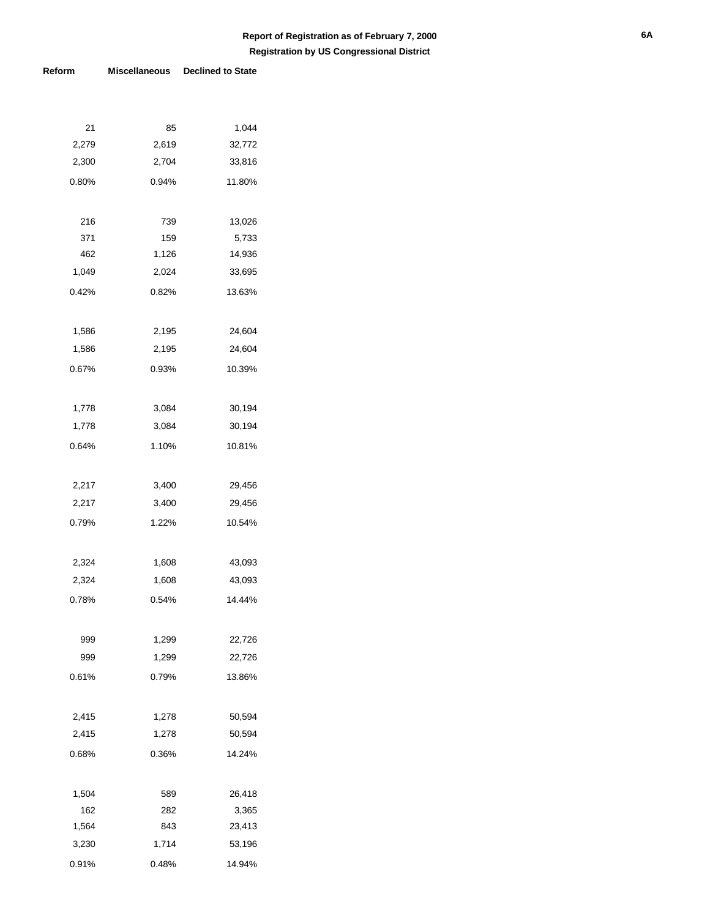| 21       | 85    | 1,044  |
|----------|-------|--------|
| 2,279    | 2,619 | 32,772 |
| 2,300    | 2,704 | 33,816 |
| $0.80\%$ | 0.94% | 11.80% |
|          |       |        |
| 216      | 739   | 13,026 |
| 371      | 159   | 5,733  |
| 462      | 1,126 | 14,936 |
| 1,049    | 2,024 | 33,695 |
| 0.42%    | 0.82% | 13.63% |
|          |       |        |
| 1,586    | 2,195 | 24,604 |
| 1,586    | 2,195 | 24,604 |
| 0.67%    | 0.93% | 10.39% |
|          |       |        |
| 1,778    | 3,084 | 30,194 |
| 1,778    | 3,084 | 30,194 |
| 0.64%    | 1.10% | 10.81% |
|          |       |        |
| 2,217    | 3,400 | 29,456 |
| 2,217    | 3,400 | 29,456 |
| 0.79%    | 1.22% | 10.54% |
|          |       |        |
| 2,324    | 1,608 | 43,093 |
| 2,324    | 1,608 | 43,093 |
| 0.78%    | 0.54% | 14.44% |
|          |       |        |
| 999      | 1,299 | 22,726 |
| 999      | 1,299 | 22,726 |
| 0.61%    | 0.79% | 13.86% |
|          |       |        |
| 2,415    | 1,278 | 50,594 |
| 2,415    | 1,278 | 50,594 |
| 0.68%    | 0.36% | 14.24% |
|          |       |        |
| 1,504    | 589   | 26,418 |
| 162      | 282   | 3,365  |
| 1,564    | 843   | 23,413 |
| 3,230    | 1,714 | 53,196 |
| 0.91%    | 0.48% | 14.94% |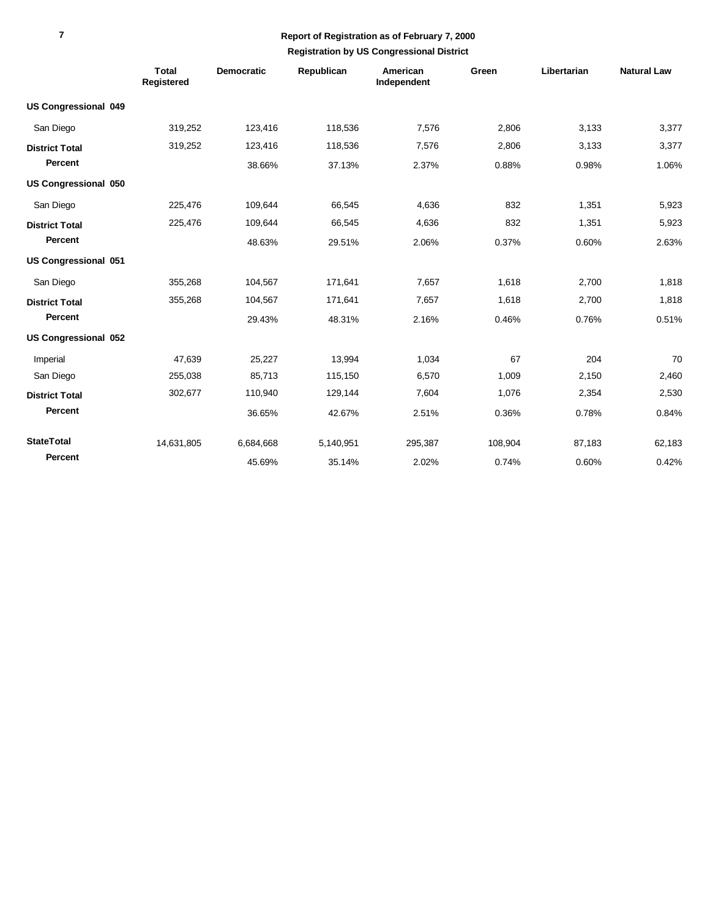|                             | <b>Total</b><br>Registered | <b>Democratic</b> | Republican | American<br>Independent | Green   | Libertarian | <b>Natural Law</b> |
|-----------------------------|----------------------------|-------------------|------------|-------------------------|---------|-------------|--------------------|
| <b>US Congressional 049</b> |                            |                   |            |                         |         |             |                    |
| San Diego                   | 319,252                    | 123,416           | 118,536    | 7,576                   | 2,806   | 3,133       | 3,377              |
| <b>District Total</b>       | 319,252                    | 123,416           | 118,536    | 7,576                   | 2,806   | 3,133       | 3,377              |
| Percent                     |                            | 38.66%            | 37.13%     | 2.37%                   | 0.88%   | 0.98%       | 1.06%              |
| US Congressional 050        |                            |                   |            |                         |         |             |                    |
| San Diego                   | 225,476                    | 109,644           | 66,545     | 4,636                   | 832     | 1,351       | 5,923              |
| <b>District Total</b>       | 225,476                    | 109,644           | 66,545     | 4,636                   | 832     | 1,351       | 5,923              |
| Percent                     |                            | 48.63%            | 29.51%     | 2.06%                   | 0.37%   | 0.60%       | 2.63%              |
| US Congressional 051        |                            |                   |            |                         |         |             |                    |
| San Diego                   | 355,268                    | 104,567           | 171,641    | 7,657                   | 1,618   | 2,700       | 1,818              |
| <b>District Total</b>       | 355,268                    | 104,567           | 171,641    | 7,657                   | 1,618   | 2,700       | 1,818              |
| Percent                     |                            | 29.43%            | 48.31%     | 2.16%                   | 0.46%   | 0.76%       | 0.51%              |
| <b>US Congressional 052</b> |                            |                   |            |                         |         |             |                    |
| Imperial                    | 47.639                     | 25,227            | 13.994     | 1.034                   | 67      | 204         | 70                 |
| San Diego                   | 255,038                    | 85,713            | 115,150    | 6,570                   | 1,009   | 2,150       | 2,460              |
| <b>District Total</b>       | 302,677                    | 110,940           | 129,144    | 7.604                   | 1,076   | 2,354       | 2,530              |
| Percent                     |                            | 36.65%            | 42.67%     | 2.51%                   | 0.36%   | 0.78%       | 0.84%              |
| <b>StateTotal</b>           | 14,631,805                 | 6,684,668         | 5,140,951  | 295,387                 | 108,904 | 87,183      | 62,183             |
| Percent                     |                            | 45.69%            | 35.14%     | 2.02%                   | 0.74%   | 0.60%       | 0.42%              |